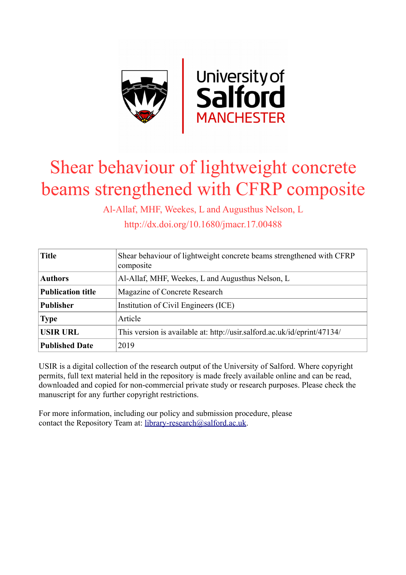

# Shear behaviour of lightweight concrete beams strengthened with CFRP composite

Al-Allaf, MHF, Weekes, L and Augusthus Nelson, L

http://dx.doi.org/10.1680/jmacr.17.00488

| <b>Title</b>             | Shear behaviour of lightweight concrete beams strengthened with CFRP<br>composite |
|--------------------------|-----------------------------------------------------------------------------------|
| <b>Authors</b>           | Al-Allaf, MHF, Weekes, L and Augusthus Nelson, L                                  |
| <b>Publication title</b> | Magazine of Concrete Research                                                     |
| <b>Publisher</b>         | Institution of Civil Engineers (ICE)                                              |
| <b>Type</b>              | Article                                                                           |
| <b>USIR URL</b>          | This version is available at: http://usir.salford.ac.uk/id/eprint/47134/          |
| <b>Published Date</b>    | 2019                                                                              |

USIR is a digital collection of the research output of the University of Salford. Where copyright permits, full text material held in the repository is made freely available online and can be read, downloaded and copied for non-commercial private study or research purposes. Please check the manuscript for any further copyright restrictions.

For more information, including our policy and submission procedure, please contact the Repository Team at: [library-research@salford.ac.uk.](mailto:library-research@salford.ac.uk)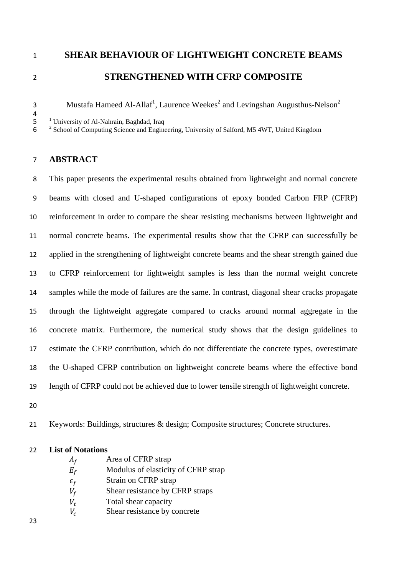## **SHEAR BEHAVIOUR OF LIGHTWEIGHT CONCRETE BEAMS STRENGTHENED WITH CFRP COMPOSITE**

3 Mustafa Hameed Al-Allaf<sup>1</sup>, Laurence Weekes<sup>2</sup> and Levingshan Augusthus-Nelson<sup>2</sup>

4<br>
<sup>1</sup> University of Al-Nahrain, Baghdad, Iraq<br>
<sup>2</sup> School of Computing Science and Engineering, University of Salford, M5 4WT, United Kingdom

### **ABSTRACT**

 This paper presents the experimental results obtained from lightweight and normal concrete beams with closed and U-shaped configurations of epoxy bonded Carbon FRP (CFRP) reinforcement in order to compare the shear resisting mechanisms between lightweight and normal concrete beams. The experimental results show that the CFRP can successfully be applied in the strengthening of lightweight concrete beams and the shear strength gained due to CFRP reinforcement for lightweight samples is less than the normal weight concrete samples while the mode of failures are the same. In contrast, diagonal shear cracks propagate through the lightweight aggregate compared to cracks around normal aggregate in the concrete matrix. Furthermore, the numerical study shows that the design guidelines to estimate the CFRP contribution, which do not differentiate the concrete types, overestimate the U-shaped CFRP contribution on lightweight concrete beams where the effective bond length of CFRP could not be achieved due to lower tensile strength of lightweight concrete.

Keywords: Buildings, structures & design; Composite structures; Concrete structures.

#### **List of Notations**

- $A_f$  Area of CFRP strap<br>  $E_f$  Modulus of elasticity
- Modulus of elasticity of CFRP strap
- $\epsilon_f$  Strain on CFRP strap<br>  $V_f$  Shear resistance by Cl
- Shear resistance by CFRP straps
- $V_t$  Total shear capacity<br>  $V_c$  Shear resistance by c
- Shear resistance by concrete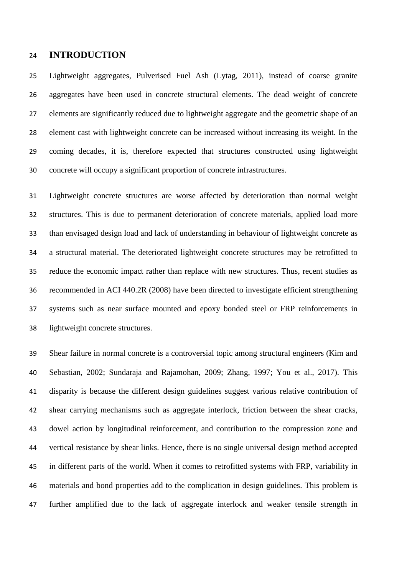#### **INTRODUCTION**

 Lightweight aggregates, Pulverised Fuel Ash (Lytag, 2011), instead of coarse granite aggregates have been used in concrete structural elements. The dead weight of concrete elements are significantly reduced due to lightweight aggregate and the geometric shape of an element cast with lightweight concrete can be increased without increasing its weight. In the coming decades, it is, therefore expected that structures constructed using lightweight concrete will occupy a significant proportion of concrete infrastructures.

 Lightweight concrete structures are worse affected by deterioration than normal weight structures. This is due to permanent deterioration of concrete materials, applied load more than envisaged design load and lack of understanding in behaviour of lightweight concrete as a structural material. The deteriorated lightweight concrete structures may be retrofitted to reduce the economic impact rather than replace with new structures. Thus, recent studies as recommended in ACI 440.2R (2008) have been directed to investigate efficient strengthening systems such as near surface mounted and epoxy bonded steel or FRP reinforcements in lightweight concrete structures.

 Shear failure in normal concrete is a controversial topic among structural engineers (Kim and Sebastian, 2002; Sundaraja and Rajamohan, 2009; Zhang, 1997; You et al., 2017). This disparity is because the different design guidelines suggest various relative contribution of shear carrying mechanisms such as aggregate interlock, friction between the shear cracks, dowel action by longitudinal reinforcement, and contribution to the compression zone and vertical resistance by shear links. Hence, there is no single universal design method accepted in different parts of the world. When it comes to retrofitted systems with FRP, variability in materials and bond properties add to the complication in design guidelines. This problem is further amplified due to the lack of aggregate interlock and weaker tensile strength in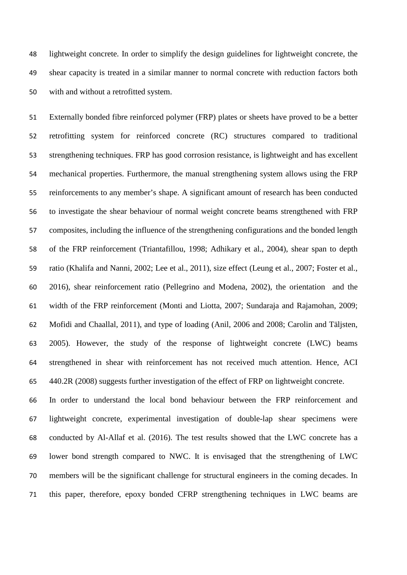lightweight concrete. In order to simplify the design guidelines for lightweight concrete, the shear capacity is treated in a similar manner to normal concrete with reduction factors both with and without a retrofitted system.

 Externally bonded fibre reinforced polymer (FRP) plates or sheets have proved to be a better retrofitting system for reinforced concrete (RC) structures compared to traditional strengthening techniques. FRP has good corrosion resistance, is lightweight and has excellent mechanical properties. Furthermore, the manual strengthening system allows using the FRP reinforcements to any member's shape. A significant amount of research has been conducted to investigate the shear behaviour of normal weight concrete beams strengthened with FRP composites, including the influence of the strengthening configurations and the bonded length of the FRP reinforcement (Triantafillou, 1998; Adhikary et al., 2004), shear span to depth ratio (Khalifa and Nanni, 2002; Lee et al., 2011), size effect (Leung et al., 2007; Foster et al., 2016), shear reinforcement ratio (Pellegrino and Modena, 2002), the orientation and the width of the FRP reinforcement (Monti and Liotta, 2007; Sundaraja and Rajamohan, 2009; Mofidi and Chaallal, 2011), and type of loading (Anil, 2006 and 2008; Carolin and Täljsten, 2005). However, the study of the response of lightweight concrete (LWC) beams strengthened in shear with reinforcement has not received much attention. Hence, ACI 440.2R (2008) suggests further investigation of the effect of FRP on lightweight concrete.

 In order to understand the local bond behaviour between the FRP reinforcement and lightweight concrete, experimental investigation of double-lap shear specimens were conducted by Al-Allaf et al. (2016). The test results showed that the LWC concrete has a lower bond strength compared to NWC. It is envisaged that the strengthening of LWC members will be the significant challenge for structural engineers in the coming decades. In this paper, therefore, epoxy bonded CFRP strengthening techniques in LWC beams are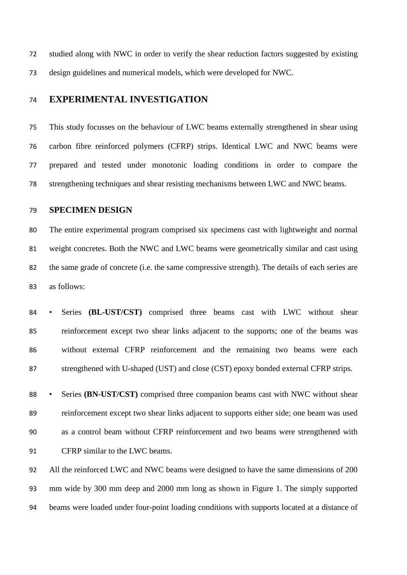studied along with NWC in order to verify the shear reduction factors suggested by existing design guidelines and numerical models, which were developed for NWC.

#### **EXPERIMENTAL INVESTIGATION**

 This study focusses on the behaviour of LWC beams externally strengthened in shear using carbon fibre reinforced polymers (CFRP) strips. Identical LWC and NWC beams were prepared and tested under monotonic loading conditions in order to compare the strengthening techniques and shear resisting mechanisms between LWC and NWC beams.

#### **SPECIMEN DESIGN**

 The entire experimental program comprised six specimens cast with lightweight and normal weight concretes. Both the NWC and LWC beams were geometrically similar and cast using the same grade of concrete (i.e. the same compressive strength). The details of each series are as follows:

 • Series **(BL-UST/CST)** comprised three beams cast with LWC without shear reinforcement except two shear links adjacent to the supports; one of the beams was without external CFRP reinforcement and the remaining two beams were each strengthened with U-shaped (UST) and close (CST) epoxy bonded external CFRP strips.

 • Series **(BN-UST/CST)** comprised three companion beams cast with NWC without shear reinforcement except two shear links adjacent to supports either side; one beam was used as a control beam without CFRP reinforcement and two beams were strengthened with CFRP similar to the LWC beams.

 All the reinforced LWC and NWC beams were designed to have the same dimensions of 200 mm wide by 300 mm deep and 2000 mm long as shown in Figure 1. The simply supported beams were loaded under four-point loading conditions with supports located at a distance of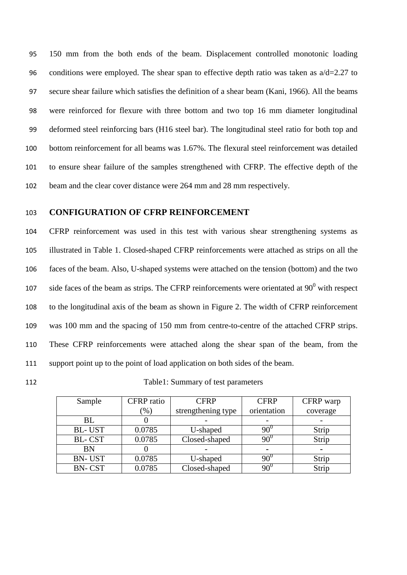150 mm from the both ends of the beam. Displacement controlled monotonic loading 96 conditions were employed. The shear span to effective depth ratio was taken as  $a/d=2.27$  to secure shear failure which satisfies the definition of a shear beam (Kani, 1966). All the beams were reinforced for flexure with three bottom and two top 16 mm diameter longitudinal deformed steel reinforcing bars (H16 steel bar). The longitudinal steel ratio for both top and bottom reinforcement for all beams was 1.67%. The flexural steel reinforcement was detailed to ensure shear failure of the samples strengthened with CFRP. The effective depth of the beam and the clear cover distance were 264 mm and 28 mm respectively.

#### 103 **CONFIGURATION OF CFRP REINFORCEMENT**

 CFRP reinforcement was used in this test with various shear strengthening systems as illustrated in Table 1. Closed-shaped CFRP reinforcements were attached as strips on all the faces of the beam. Also, U-shaped systems were attached on the tension (bottom) and the two 107 side faces of the beam as strips. The CFRP reinforcements were orientated at  $90^0$  with respect to the longitudinal axis of the beam as shown in Figure 2. The width of CFRP reinforcement was 100 mm and the spacing of 150 mm from centre-to-centre of the attached CFRP strips. These CFRP reinforcements were attached along the shear span of the beam, from the support point up to the point of load application on both sides of the beam.

112 Table1: Summary of test parameters

| Sample        | <b>CFRP</b> ratio | <b>CFRP</b>        | <b>CFRP</b> | CFRP warp      |
|---------------|-------------------|--------------------|-------------|----------------|
|               | $\gamma_0$        | strengthening type | orientation | coverage       |
| BL            |                   |                    |             |                |
| <b>BL-UST</b> | 0.0785            | U-shaped           | $90^0$      | Strip          |
| <b>BL-CST</b> | 0.0785            | Closed-shaped      | $90^0$      | Strip          |
| <b>BN</b>     |                   |                    |             | $\blacksquare$ |
| <b>BN-UST</b> | 0.0785            | U-shaped           | $90^0$      | Strip          |
| <b>BN-CST</b> | 0.0785            | Closed-shaped      | $90^{0}$    | Strip          |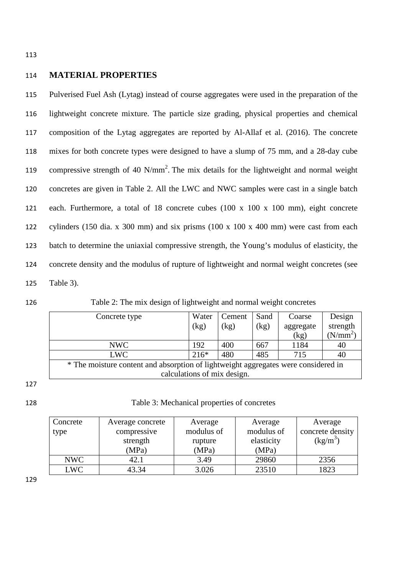113

#### 114 **MATERIAL PROPERTIES**

 Pulverised Fuel Ash (Lytag) instead of course aggregates were used in the preparation of the lightweight concrete mixture. The particle size grading, physical properties and chemical composition of the Lytag aggregates are reported by Al-Allaf et al. (2016). The concrete mixes for both concrete types were designed to have a slump of 75 mm, and a 28-day cube 119 compressive strength of 40  $N/mm^2$ . The mix details for the lightweight and normal weight concretes are given in Table 2. All the LWC and NWC samples were cast in a single batch each. Furthermore, a total of 18 concrete cubes (100 x 100 x 100 mm), eight concrete cylinders (150 dia. x 300 mm) and six prisms (100 x 100 x 400 mm) were cast from each batch to determine the uniaxial compressive strength, the Young's modulus of elasticity, the concrete density and the modulus of rupture of lightweight and normal weight concretes (see Table 3).

126 Table 2: The mix design of lightweight and normal weight concretes

| Concrete type                                                                      | Water  | Cement | Sand | Coarse    | Design     |
|------------------------------------------------------------------------------------|--------|--------|------|-----------|------------|
|                                                                                    | (kg)   | (kg)   | (kg) | aggregate | strength   |
|                                                                                    |        |        |      | (kg)      | $(N/mm^2)$ |
| NWC                                                                                | 192    | 400    | 667  | 1184      | 40         |
| <b>LWC</b>                                                                         | $216*$ | 480    | 485  | 715       | 40         |
| * The moisture content and absorption of lightweight aggregates were considered in |        |        |      |           |            |
| calculations of mix design.                                                        |        |        |      |           |            |

<sup>127</sup>

128 Table 3: Mechanical properties of concretes

| Concrete   | Average concrete | Average    | Average    | Average          |
|------------|------------------|------------|------------|------------------|
| type       | compressive      | modulus of | modulus of | concrete density |
|            | strength         | rupture    | elasticity | $(kg/m^3)$       |
|            | (MPa)            | (MPa)      | (MPa)      |                  |
| NWC        | 42.1             | 3.49       | 29860      | 2356             |
| <b>LWC</b> | 43.34            | 3.026      | 23510      | 1823             |

129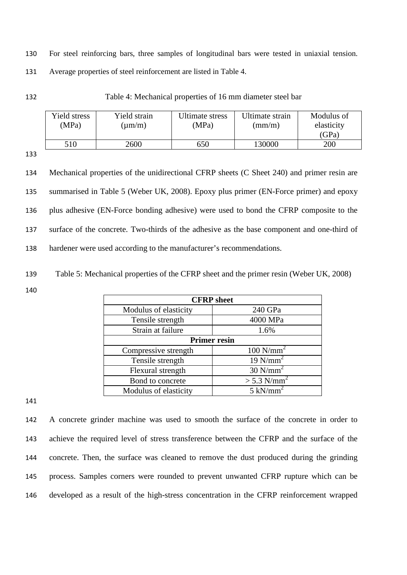130 For steel reinforcing bars, three samples of longitudinal bars were tested in uniaxial tension. 131 Average properties of steel reinforcement are listed in Table 4.

132 Table 4: Mechanical properties of 16 mm diameter steel bar

| Yield stress<br>(MPa) | Yield strain<br>$\text{(µm/m)}$ | Ultimate stress<br>(MPa) | Ultimate strain<br>$\text{m}/\text{m}$ | Modulus of<br>elasticity |
|-----------------------|---------------------------------|--------------------------|----------------------------------------|--------------------------|
|                       |                                 |                          |                                        | (GPa)                    |
| 510                   | 2600                            | 650                      | 130000                                 | 200                      |

133

 Mechanical properties of the unidirectional CFRP sheets (C Sheet 240) and primer resin are summarised in Table 5 (Weber UK, 2008). Epoxy plus primer (EN-Force primer) and epoxy plus adhesive (EN-Force bonding adhesive) were used to bond the CFRP composite to the surface of the concrete. Two-thirds of the adhesive as the base component and one-third of hardener were used according to the manufacturer's recommendations.

139 Table 5: Mechanical properties of the CFRP sheet and the primer resin (Weber UK, 2008)

140

| <b>CFRP</b> sheet     |                           |  |  |  |
|-----------------------|---------------------------|--|--|--|
| Modulus of elasticity | 240 GPa                   |  |  |  |
| Tensile strength      | 4000 MPa                  |  |  |  |
| Strain at failure     | 1.6%                      |  |  |  |
| <b>Primer resin</b>   |                           |  |  |  |
| Compressive strength  | $100$ N/mm <sup>2</sup>   |  |  |  |
| Tensile strength      | $19$ N/mm <sup>2</sup>    |  |  |  |
| Flexural strength     | $30$ N/mm <sup>2</sup>    |  |  |  |
| Bond to concrete      | $>$ 5.3 N/mm <sup>2</sup> |  |  |  |
| Modulus of elasticity | $5$ kN/mm <sup>2</sup>    |  |  |  |

141

 A concrete grinder machine was used to smooth the surface of the concrete in order to achieve the required level of stress transference between the CFRP and the surface of the concrete. Then, the surface was cleaned to remove the dust produced during the grinding process. Samples corners were rounded to prevent unwanted CFRP rupture which can be developed as a result of the high-stress concentration in the CFRP reinforcement wrapped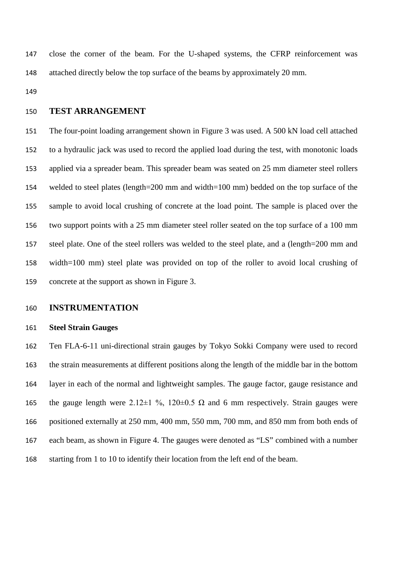close the corner of the beam. For the U-shaped systems, the CFRP reinforcement was attached directly below the top surface of the beams by approximately 20 mm.

#### **TEST ARRANGEMENT**

 The four-point loading arrangement shown in Figure 3 was used. A 500 kN load cell attached to a hydraulic jack was used to record the applied load during the test, with monotonic loads applied via a spreader beam. This spreader beam was seated on 25 mm diameter steel rollers welded to steel plates (length=200 mm and width=100 mm) bedded on the top surface of the sample to avoid local crushing of concrete at the load point*.* The sample is placed over the two support points with a 25 mm diameter steel roller seated on the top surface of a 100 mm steel plate. One of the steel rollers was welded to the steel plate, and a (length=200 mm and width=100 mm) steel plate was provided on top of the roller to avoid local crushing of concrete at the support as shown in Figure 3.

#### **INSTRUMENTATION**

#### **Steel Strain Gauges**

 Ten FLA-6-11 uni-directional strain gauges by Tokyo Sokki Company were used to record the strain measurements at different positions along the length of the middle bar in the bottom layer in each of the normal and lightweight samples. The gauge factor, gauge resistance and 165 the gauge length were  $2.12 \pm 1\%$ ,  $120 \pm 0.5 \Omega$  and 6 mm respectively. Strain gauges were positioned externally at 250 mm, 400 mm, 550 mm, 700 mm, and 850 mm from both ends of each beam, as shown in Figure 4. The gauges were denoted as "LS" combined with a number starting from 1 to 10 to identify their location from the left end of the beam.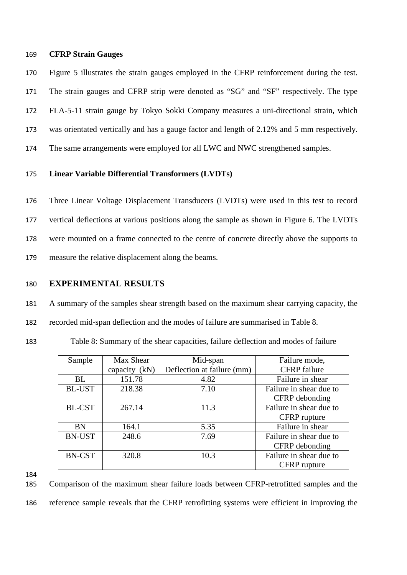#### 169 **CFRP Strain Gauges**

 Figure 5 illustrates the strain gauges employed in the CFRP reinforcement during the test. The strain gauges and CFRP strip were denoted as "SG" and "SF" respectively. The type FLA-5-11 strain gauge by Tokyo Sokki Company measures a uni-directional strain, which was orientated vertically and has a gauge factor and length of 2.12% and 5 mm respectively. The same arrangements were employed for all LWC and NWC strengthened samples.

#### 175 **Linear Variable Differential Transformers (LVDTs)**

 Three Linear Voltage Displacement Transducers (LVDTs) were used in this test to record vertical deflections at various positions along the sample as shown in Figure 6. The LVDTs were mounted on a frame connected to the centre of concrete directly above the supports to measure the relative displacement along the beams.

#### 180 **EXPERIMENTAL RESULTS**

181 A summary of the samples shear strength based on the maximum shear carrying capacity, the 182 recorded mid-span deflection and the modes of failure are summarised in Table 8.

183 Table 8: Summary of the shear capacities, failure deflection and modes of failure

| Sample        | Max Shear     | Mid-span                   | Failure mode,           |
|---------------|---------------|----------------------------|-------------------------|
|               | capacity (kN) | Deflection at failure (mm) | <b>CFRP</b> failure     |
| BL            | 151.78        | 4.82                       | Failure in shear        |
| <b>BL-UST</b> | 218.38        | 7.10                       | Failure in shear due to |
|               |               |                            | CFRP debonding          |
| <b>BL-CST</b> | 267.14        | 11.3                       | Failure in shear due to |
|               |               |                            | CFRP rupture            |
| <b>BN</b>     | 164.1         | 5.35                       | Failure in shear        |
| <b>BN-UST</b> | 248.6         | 7.69                       | Failure in shear due to |
|               |               |                            | CFRP debonding          |
| <b>BN-CST</b> | 320.8         | 10.3                       | Failure in shear due to |
|               |               |                            | CFRP rupture            |

184

185 Comparison of the maximum shear failure loads between CFRP-retrofitted samples and the 186 reference sample reveals that the CFRP retrofitting systems were efficient in improving the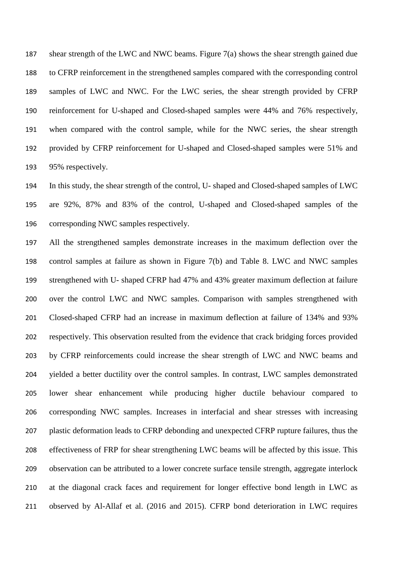shear strength of the LWC and NWC beams. Figure 7(a) shows the shear strength gained due to CFRP reinforcement in the strengthened samples compared with the corresponding control samples of LWC and NWC. For the LWC series, the shear strength provided by CFRP reinforcement for U-shaped and Closed-shaped samples were 44% and 76% respectively, when compared with the control sample, while for the NWC series, the shear strength provided by CFRP reinforcement for U-shaped and Closed-shaped samples were 51% and 95% respectively.

 In this study, the shear strength of the control, U- shaped and Closed-shaped samples of LWC are 92%, 87% and 83% of the control, U-shaped and Closed-shaped samples of the corresponding NWC samples respectively.

 All the strengthened samples demonstrate increases in the maximum deflection over the control samples at failure as shown in Figure 7(b) and Table 8. LWC and NWC samples strengthened with U- shaped CFRP had 47% and 43% greater maximum deflection at failure over the control LWC and NWC samples. Comparison with samples strengthened with Closed-shaped CFRP had an increase in maximum deflection at failure of 134% and 93% respectively. This observation resulted from the evidence that crack bridging forces provided by CFRP reinforcements could increase the shear strength of LWC and NWC beams and yielded a better ductility over the control samples. In contrast, LWC samples demonstrated lower shear enhancement while producing higher ductile behaviour compared to corresponding NWC samples. Increases in interfacial and shear stresses with increasing plastic deformation leads to CFRP debonding and unexpected CFRP rupture failures, thus the effectiveness of FRP for shear strengthening LWC beams will be affected by this issue. This observation can be attributed to a lower concrete surface tensile strength, aggregate interlock at the diagonal crack faces and requirement for longer effective bond length in LWC as observed by Al-Allaf et al. (2016 and 2015). CFRP bond deterioration in LWC requires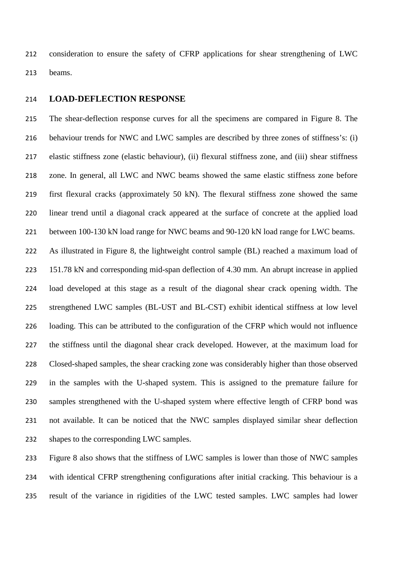consideration to ensure the safety of CFRP applications for shear strengthening of LWC beams.

#### **LOAD-DEFLECTION RESPONSE**

 The shear-deflection response curves for all the specimens are compared in Figure 8. The behaviour trends for NWC and LWC samples are described by three zones of stiffness's: (i) elastic stiffness zone (elastic behaviour), (ii) flexural stiffness zone, and (iii) shear stiffness zone. In general, all LWC and NWC beams showed the same elastic stiffness zone before first flexural cracks (approximately 50 kN). The flexural stiffness zone showed the same linear trend until a diagonal crack appeared at the surface of concrete at the applied load between 100-130 kN load range for NWC beams and 90-120 kN load range for LWC beams. As illustrated in Figure 8, the lightweight control sample (BL) reached a maximum load of

 151.78 kN and corresponding mid-span deflection of 4.30 mm. An abrupt increase in applied load developed at this stage as a result of the diagonal shear crack opening width. The strengthened LWC samples (BL-UST and BL-CST) exhibit identical stiffness at low level loading. This can be attributed to the configuration of the CFRP which would not influence the stiffness until the diagonal shear crack developed. However, at the maximum load for Closed-shaped samples, the shear cracking zone was considerably higher than those observed in the samples with the U-shaped system. This is assigned to the premature failure for samples strengthened with the U-shaped system where effective length of CFRP bond was not available. It can be noticed that the NWC samples displayed similar shear deflection shapes to the corresponding LWC samples.

 Figure 8 also shows that the stiffness of LWC samples is lower than those of NWC samples with identical CFRP strengthening configurations after initial cracking. This behaviour is a result of the variance in rigidities of the LWC tested samples. LWC samples had lower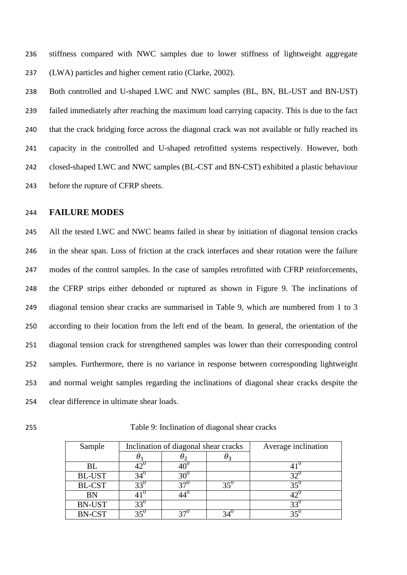stiffness compared with NWC samples due to lower stiffness of lightweight aggregate (LWA) particles and higher cement ratio (Clarke, 2002).

 Both controlled and U-shaped LWC and NWC samples (BL, BN, BL-UST and BN-UST) failed immediately after reaching the maximum load carrying capacity. This is due to the fact that the crack bridging force across the diagonal crack was not available or fully reached its capacity in the controlled and U-shaped retrofitted systems respectively. However, both closed-shaped LWC and NWC samples (BL-CST and BN-CST) exhibited a plastic behaviour before the rupture of CFRP sheets.

#### **FAILURE MODES**

245 All the tested LWC and NWC beams failed in shear by initiation of diagonal tension cracks in the shear span. Loss of friction at the crack interfaces and shear rotation were the failure modes of the control samples. In the case of samples retrofitted with CFRP reinforcements, the CFRP strips either debonded or ruptured as shown in Figure 9. The inclinations of diagonal tension shear cracks are summarised in Table 9, which are numbered from 1 to 3 according to their location from the left end of the beam. In general, the orientation of the diagonal tension crack for strengthened samples was lower than their corresponding control samples. Furthermore, there is no variance in response between corresponding lightweight and normal weight samples regarding the inclinations of diagonal shear cracks despite the clear difference in ultimate shear loads.

Table 9: Inclination of diagonal shear cracks

| Sample        | Inclination of diagonal shear cracks |                |     | Average inclination |
|---------------|--------------------------------------|----------------|-----|---------------------|
|               |                                      | U <sub>2</sub> | Uз  |                     |
| BL            |                                      | 10             |     |                     |
| <b>BL-UST</b> |                                      | 30'            |     | 32                  |
| <b>BL-CST</b> | 33 <sup>6</sup>                      | 27             | 35' | $35^{0}$            |
| <b>BN</b>     |                                      |                |     | 42                  |
| <b>BN-UST</b> | 33'                                  |                |     | $33^{\circ}$        |
| <b>BN-CST</b> |                                      |                |     |                     |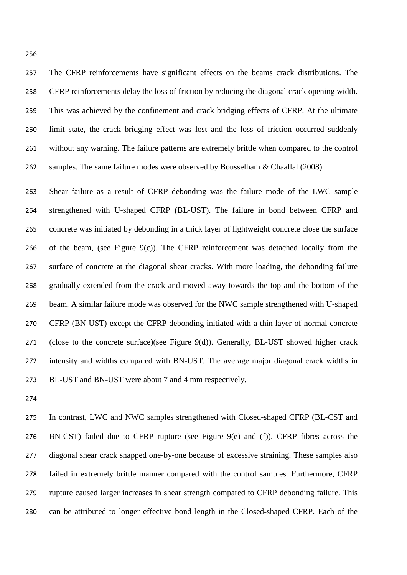The CFRP reinforcements have significant effects on the beams crack distributions. The CFRP reinforcements delay the loss of friction by reducing the diagonal crack opening width. This was achieved by the confinement and crack bridging effects of CFRP. At the ultimate limit state, the crack bridging effect was lost and the loss of friction occurred suddenly without any warning. The failure patterns are extremely brittle when compared to the control 262 samples. The same failure modes were observed by Bousselham & Chaallal (2008).

 Shear failure as a result of CFRP debonding was the failure mode of the LWC sample strengthened with U-shaped CFRP (BL-UST). The failure in bond between CFRP and concrete was initiated by debonding in a thick layer of lightweight concrete close the surface 266 of the beam, (see Figure  $9(c)$ ). The CFRP reinforcement was detached locally from the surface of concrete at the diagonal shear cracks. With more loading, the debonding failure gradually extended from the crack and moved away towards the top and the bottom of the beam. A similar failure mode was observed for the NWC sample strengthened with U-shaped CFRP (BN-UST) except the CFRP debonding initiated with a thin layer of normal concrete (close to the concrete surface)(see Figure 9(d)). Generally, BL-UST showed higher crack intensity and widths compared with BN-UST. The average major diagonal crack widths in BL-UST and BN-UST were about 7 and 4 mm respectively.

 In contrast, LWC and NWC samples strengthened with Closed-shaped CFRP (BL-CST and BN-CST) failed due to CFRP rupture (see Figure 9(e) and (f)). CFRP fibres across the diagonal shear crack snapped one-by-one because of excessive straining. These samples also failed in extremely brittle manner compared with the control samples. Furthermore, CFRP rupture caused larger increases in shear strength compared to CFRP debonding failure. This can be attributed to longer effective bond length in the Closed-shaped CFRP. Each of the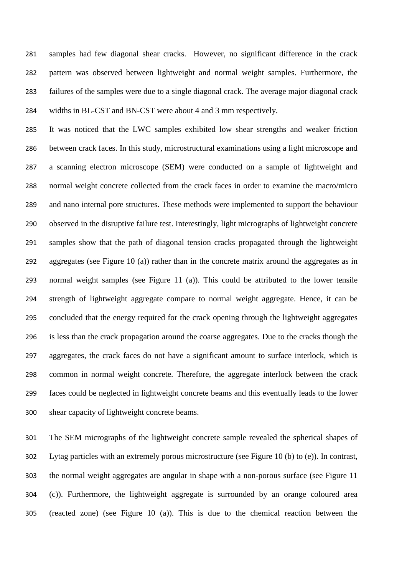samples had few diagonal shear cracks. However, no significant difference in the crack pattern was observed between lightweight and normal weight samples. Furthermore, the failures of the samples were due to a single diagonal crack. The average major diagonal crack widths in BL-CST and BN-CST were about 4 and 3 mm respectively.

 It was noticed that the LWC samples exhibited low shear strengths and weaker friction between crack faces. In this study, microstructural examinations using a light microscope and a scanning electron microscope (SEM) were conducted on a sample of lightweight and normal weight concrete collected from the crack faces in order to examine the macro/micro and nano internal pore structures. These methods were implemented to support the behaviour observed in the disruptive failure test. Interestingly, light micrographs of lightweight concrete samples show that the path of diagonal tension cracks propagated through the lightweight aggregates (see Figure 10 (a)) rather than in the concrete matrix around the aggregates as in normal weight samples (see Figure 11 (a)). This could be attributed to the lower tensile strength of lightweight aggregate compare to normal weight aggregate. Hence, it can be concluded that the energy required for the crack opening through the lightweight aggregates is less than the crack propagation around the coarse aggregates. Due to the cracks though the aggregates, the crack faces do not have a significant amount to surface interlock, which is common in normal weight concrete. Therefore, the aggregate interlock between the crack faces could be neglected in lightweight concrete beams and this eventually leads to the lower shear capacity of lightweight concrete beams.

 The SEM micrographs of the lightweight concrete sample revealed the spherical shapes of Lytag particles with an extremely porous microstructure (see Figure 10 (b) to (e)). In contrast, the normal weight aggregates are angular in shape with a non-porous surface (see Figure 11 (c)). Furthermore, the lightweight aggregate is surrounded by an orange coloured area (reacted zone) (see Figure 10 (a)). This is due to the chemical reaction between the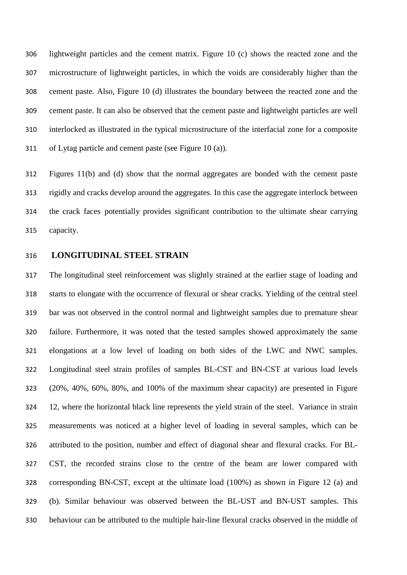lightweight particles and the cement matrix. Figure 10 (c) shows the reacted zone and the microstructure of lightweight particles, in which the voids are considerably higher than the cement paste. Also, Figure 10 (d) illustrates the boundary between the reacted zone and the cement paste. It can also be observed that the cement paste and lightweight particles are well interlocked as illustrated in the typical microstructure of the interfacial zone for a composite of Lytag particle and cement paste (see Figure 10 (a)).

 Figures 11(b) and (d) show that the normal aggregates are bonded with the cement paste rigidly and cracks develop around the aggregates. In this case the aggregate interlock between the crack faces potentially provides significant contribution to the ultimate shear carrying capacity.

**LONGITUDINAL STEEL STRAIN**

 The longitudinal steel reinforcement was slightly strained at the earlier stage of loading and starts to elongate with the occurrence of flexural or shear cracks. Yielding of the central steel bar was not observed in the control normal and lightweight samples due to premature shear failure. Furthermore, it was noted that the tested samples showed approximately the same elongations at a low level of loading on both sides of the LWC and NWC samples. Longitudinal steel strain profiles of samples BL-CST and BN-CST at various load levels (20%, 40%, 60%, 80%, and 100% of the maximum shear capacity) are presented in Figure 12, where the horizontal black line represents the yield strain of the steel. Variance in strain measurements was noticed at a higher level of loading in several samples, which can be attributed to the position, number and effect of diagonal shear and flexural cracks. For BL- CST, the recorded strains close to the centre of the beam are lower compared with corresponding BN-CST, except at the ultimate load (100%) as shown in Figure 12 (a) and (b). Similar behaviour was observed between the BL-UST and BN-UST samples. This behaviour can be attributed to the multiple hair-line flexural cracks observed in the middle of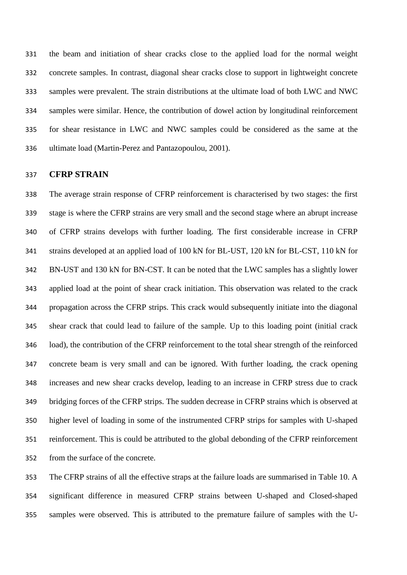the beam and initiation of shear cracks close to the applied load for the normal weight concrete samples. In contrast, diagonal shear cracks close to support in lightweight concrete samples were prevalent. The strain distributions at the ultimate load of both LWC and NWC samples were similar. Hence, the contribution of dowel action by longitudinal reinforcement for shear resistance in LWC and NWC samples could be considered as the same at the ultimate load (Martin-Perez and Pantazopoulou, 2001).

#### **CFRP STRAIN**

 The average strain response of CFRP reinforcement is characterised by two stages: the first stage is where the CFRP strains are very small and the second stage where an abrupt increase of CFRP strains develops with further loading. The first considerable increase in CFRP strains developed at an applied load of 100 kN for BL-UST, 120 kN for BL-CST, 110 kN for BN-UST and 130 kN for BN-CST. It can be noted that the LWC samples has a slightly lower applied load at the point of shear crack initiation. This observation was related to the crack propagation across the CFRP strips. This crack would subsequently initiate into the diagonal shear crack that could lead to failure of the sample. Up to this loading point (initial crack load), the contribution of the CFRP reinforcement to the total shear strength of the reinforced concrete beam is very small and can be ignored. With further loading, the crack opening increases and new shear cracks develop, leading to an increase in CFRP stress due to crack bridging forces of the CFRP strips. The sudden decrease in CFRP strains which is observed at higher level of loading in some of the instrumented CFRP strips for samples with U-shaped reinforcement. This is could be attributed to the global debonding of the CFRP reinforcement from the surface of the concrete.

 The CFRP strains of all the effective straps at the failure loads are summarised in Table 10. A significant difference in measured CFRP strains between U-shaped and Closed-shaped samples were observed. This is attributed to the premature failure of samples with the U-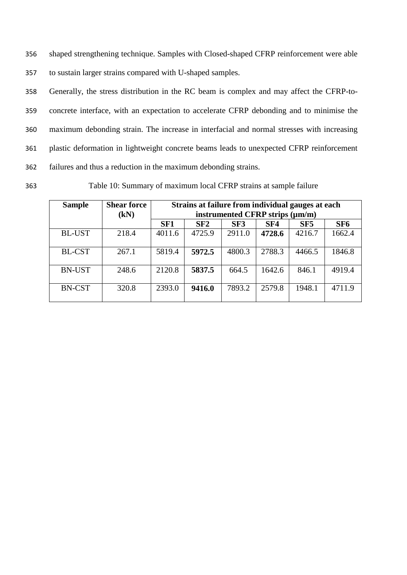356 shaped strengthening technique. Samples with Closed-shaped CFRP reinforcement were able 357 to sustain larger strains compared with U-shaped samples.

 Generally, the stress distribution in the RC beam is complex and may affect the CFRP-to- concrete interface, with an expectation to accelerate CFRP debonding and to minimise the maximum debonding strain. The increase in interfacial and normal stresses with increasing plastic deformation in lightweight concrete beams leads to unexpected CFRP reinforcement failures and thus a reduction in the maximum debonding strains.

363 Table 10: Summary of maximum local CFRP strains at sample failure

| <b>Sample</b> | <b>Shear force</b><br>(kN) | Strains at failure from individual gauges at each<br>instrumented CFRP strips (µm/m) |        |                 |        |        |                 |
|---------------|----------------------------|--------------------------------------------------------------------------------------|--------|-----------------|--------|--------|-----------------|
|               |                            | SF <sub>1</sub>                                                                      | SF2    | SF <sub>3</sub> | SF4    | SF5    | SF <sub>6</sub> |
| <b>BL-UST</b> | 218.4                      | 4011.6                                                                               | 4725.9 | 2911.0          | 4728.6 | 4216.7 | 1662.4          |
| <b>BL-CST</b> | 267.1                      | 5819.4                                                                               | 5972.5 | 4800.3          | 2788.3 | 4466.5 | 1846.8          |
| <b>BN-UST</b> | 248.6                      | 2120.8                                                                               | 5837.5 | 664.5           | 1642.6 | 846.1  | 4919.4          |
| <b>BN-CST</b> | 320.8                      | 2393.0                                                                               | 9416.0 | 7893.2          | 2579.8 | 1948.1 | 4711.9          |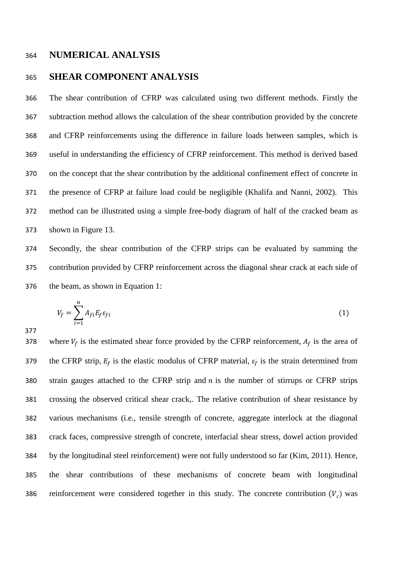#### **NUMERICAL ANALYSIS**

#### **SHEAR COMPONENT ANALYSIS**

 The shear contribution of CFRP was calculated using two different methods. Firstly the subtraction method allows the calculation of the shear contribution provided by the concrete and CFRP reinforcements using the difference in failure loads between samples, which is useful in understanding the efficiency of CFRP reinforcement. This method is derived based on the concept that the shear contribution by the additional confinement effect of concrete in the presence of CFRP at failure load could be negligible (Khalifa and Nanni, 2002). This method can be illustrated using a simple free-body diagram of half of the cracked beam as shown in Figure 13.

 Secondly, the shear contribution of the CFRP strips can be evaluated by summing the contribution provided by CFRP reinforcement across the diagonal shear crack at each side of the beam, as shown in Equation 1:

$$
V_f = \sum_{i=1}^{n} A_{fi} E_f \varepsilon_{fi} \tag{1}
$$

378 where  $V_f$  is the estimated shear force provided by the CFRP reinforcement,  $A_f$  is the area of 379 the CFRP strip,  $E_f$  is the elastic modulus of CFRP material,  $\varepsilon_f$  is the strain determined from 380 strain gauges attached to the CFRP strip and  $n$  is the number of stirrups or CFRP strips crossing the observed critical shear crack,. The relative contribution of shear resistance by various mechanisms (i.e., tensile strength of concrete, aggregate interlock at the diagonal crack faces, compressive strength of concrete, interfacial shear stress, dowel action provided by the longitudinal steel reinforcement) were not fully understood so far (Kim, 2011). Hence, the shear contributions of these mechanisms of concrete beam with longitudinal 386 reinforcement were considered together in this study. The concrete contribution  $(V_c)$  was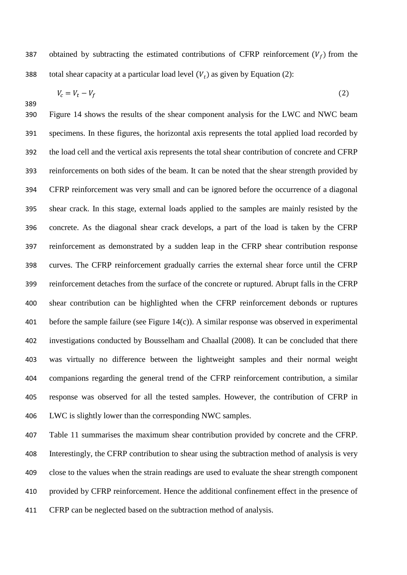387 obtained by subtracting the estimated contributions of CFRP reinforcement  $(V_f)$  from the 388 total shear capacity at a particular load level  $(V_t)$  as given by Equation (2):

$$
V_c = V_t - V_f \tag{2}
$$

 Figure 14 shows the results of the shear component analysis for the LWC and NWC beam specimens. In these figures, the horizontal axis represents the total applied load recorded by the load cell and the vertical axis represents the total shear contribution of concrete and CFRP reinforcements on both sides of the beam. It can be noted that the shear strength provided by CFRP reinforcement was very small and can be ignored before the occurrence of a diagonal shear crack. In this stage, external loads applied to the samples are mainly resisted by the concrete. As the diagonal shear crack develops, a part of the load is taken by the CFRP reinforcement as demonstrated by a sudden leap in the CFRP shear contribution response curves. The CFRP reinforcement gradually carries the external shear force until the CFRP reinforcement detaches from the surface of the concrete or ruptured. Abrupt falls in the CFRP shear contribution can be highlighted when the CFRP reinforcement debonds or ruptures before the sample failure (see Figure 14(c)). A similar response was observed in experimental investigations conducted by Bousselham and Chaallal (2008). It can be concluded that there was virtually no difference between the lightweight samples and their normal weight companions regarding the general trend of the CFRP reinforcement contribution, a similar response was observed for all the tested samples. However, the contribution of CFRP in LWC is slightly lower than the corresponding NWC samples.

 Table 11 summarises the maximum shear contribution provided by concrete and the CFRP. Interestingly, the CFRP contribution to shear using the subtraction method of analysis is very close to the values when the strain readings are used to evaluate the shear strength component provided by CFRP reinforcement. Hence the additional confinement effect in the presence of CFRP can be neglected based on the subtraction method of analysis.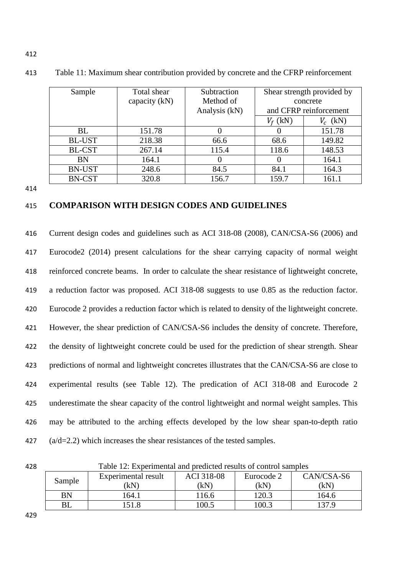| Sample        | Total shear<br>capacity (kN) | Subtraction<br>Method of<br>Analysis (kN) |            | Shear strength provided by<br>concrete<br>and CFRP reinforcement |
|---------------|------------------------------|-------------------------------------------|------------|------------------------------------------------------------------|
|               |                              |                                           | $V_f$ (kN) | $V_c$ (kN)                                                       |
| <b>BL</b>     | 151.78                       |                                           |            | 151.78                                                           |
| <b>BL-UST</b> | 218.38                       | 66.6                                      | 68.6       | 149.82                                                           |
| <b>BL-CST</b> | 267.14                       | 115.4                                     | 118.6      | 148.53                                                           |
| <b>BN</b>     | 164.1                        |                                           |            | 164.1                                                            |
| <b>BN-UST</b> | 248.6                        | 84.5                                      | 84.1       | 164.3                                                            |
| <b>BN-CST</b> | 320.8                        | 156.7                                     | 159.7      | 161.1                                                            |

413 Table 11: Maximum shear contribution provided by concrete and the CFRP reinforcement

414

#### 415 **COMPARISON WITH DESIGN CODES AND GUIDELINES**

 Current design codes and guidelines such as ACI 318-08 (2008), CAN/CSA-S6 (2006) and Eurocode2 (2014) present calculations for the shear carrying capacity of normal weight reinforced concrete beams. In order to calculate the shear resistance of lightweight concrete, a reduction factor was proposed. ACI 318-08 suggests to use 0.85 as the reduction factor. Eurocode 2 provides a reduction factor which is related to density of the lightweight concrete. However, the shear prediction of CAN/CSA-S6 includes the density of concrete. Therefore, the density of lightweight concrete could be used for the prediction of shear strength. Shear predictions of normal and lightweight concretes illustrates that the CAN/CSA-S6 are close to experimental results (see Table 12). The predication of ACI 318-08 and Eurocode 2 underestimate the shear capacity of the control lightweight and normal weight samples. This may be attributed to the arching effects developed by the low shear span-to-depth ratio ( $a/d=2.2$ ) which increases the shear resistances of the tested samples.



428 Table 12: Experimental and predicted results of control samples

| Sample    | Experimental result<br>'kΝ | <b>ACI 318-08</b><br>ΊkΝ | Eurocode 2<br>(kN | CAN/CSA-S6<br>(kN |
|-----------|----------------------------|--------------------------|-------------------|-------------------|
| <b>BN</b> | 64.1                       | 16.6                     | 120.3             | 164.6             |
| BL        |                            | .00.5                    | 100.3             | 1370              |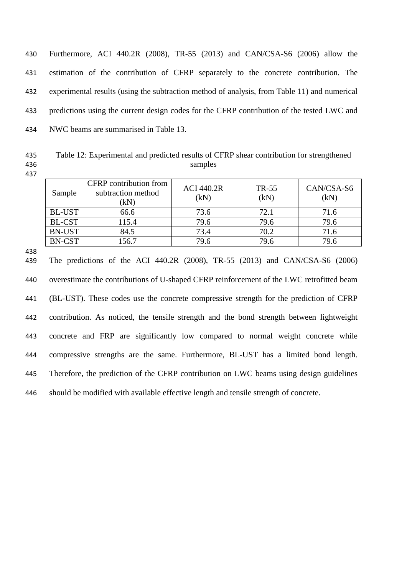Furthermore, ACI 440.2R (2008), TR-55 (2013) and CAN/CSA-S6 (2006) allow the estimation of the contribution of CFRP separately to the concrete contribution. The experimental results (using the subtraction method of analysis, from Table 11) and numerical predictions using the current design codes for the CFRP contribution of the tested LWC and NWC beams are summarised in Table 13.

435 Table 12: Experimental and predicted results of CFRP shear contribution for strengthened 436 samples

437

| Sample        | CFRP contribution from<br>subtraction method<br>(kN) | <b>ACI 440.2R</b><br>(kN) | TR-55<br>(kN) | CAN/CSA-S6<br>(kN) |
|---------------|------------------------------------------------------|---------------------------|---------------|--------------------|
| <b>BL-UST</b> | 66.6                                                 | 73.6                      | 72.1          | 71.6               |
| <b>BL-CST</b> | 115.4                                                | 79.6                      | 79.6          | 79.6               |
| <b>BN-UST</b> | 84.5                                                 | 73.4                      | 70.2          | 71.6               |
| <b>BN-CST</b> | 156.7                                                | 79.6                      | 79.6          | 79.6               |

438

 The predictions of the ACI 440.2R (2008), TR-55 (2013) and CAN/CSA-S6 (2006) overestimate the contributions of U-shaped CFRP reinforcement of the LWC retrofitted beam (BL-UST). These codes use the concrete compressive strength for the prediction of CFRP contribution. As noticed, the tensile strength and the bond strength between lightweight concrete and FRP are significantly low compared to normal weight concrete while compressive strengths are the same. Furthermore, BL-UST has a limited bond length. Therefore, the prediction of the CFRP contribution on LWC beams using design guidelines should be modified with available effective length and tensile strength of concrete.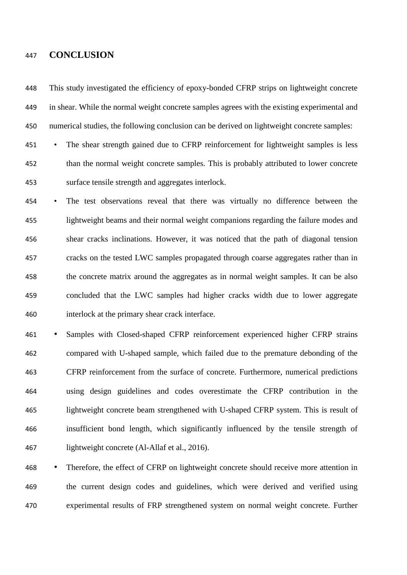#### **CONCLUSION**

 This study investigated the efficiency of epoxy-bonded CFRP strips on lightweight concrete in shear. While the normal weight concrete samples agrees with the existing experimental and numerical studies, the following conclusion can be derived on lightweight concrete samples:

 • The shear strength gained due to CFRP reinforcement for lightweight samples is less than the normal weight concrete samples. This is probably attributed to lower concrete surface tensile strength and aggregates interlock.

 • The test observations reveal that there was virtually no difference between the lightweight beams and their normal weight companions regarding the failure modes and shear cracks inclinations. However, it was noticed that the path of diagonal tension cracks on the tested LWC samples propagated through coarse aggregates rather than in the concrete matrix around the aggregates as in normal weight samples. It can be also concluded that the LWC samples had higher cracks width due to lower aggregate interlock at the primary shear crack interface.

 • Samples with Closed-shaped CFRP reinforcement experienced higher CFRP strains compared with U-shaped sample, which failed due to the premature debonding of the CFRP reinforcement from the surface of concrete. Furthermore, numerical predictions using design guidelines and codes overestimate the CFRP contribution in the lightweight concrete beam strengthened with U-shaped CFRP system. This is result of insufficient bond length, which significantly influenced by the tensile strength of lightweight concrete (Al-Allaf et al., 2016).

 • Therefore, the effect of CFRP on lightweight concrete should receive more attention in the current design codes and guidelines, which were derived and verified using experimental results of FRP strengthened system on normal weight concrete. Further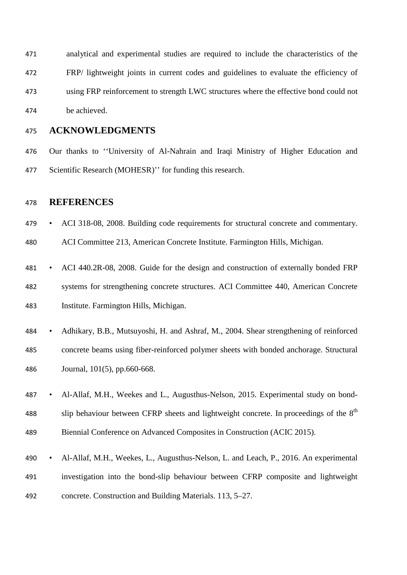analytical and experimental studies are required to include the characteristics of the FRP/ lightweight joints in current codes and guidelines to evaluate the efficiency of using FRP reinforcement to strength LWC structures where the effective bond could not be achieved.

#### **ACKNOWLEDGMENTS**

 Our thanks to ''University of Al-Nahrain and Iraqi Ministry of Higher Education and Scientific Research (MOHESR)'' for funding this research.

#### **REFERENCES**

• ACI 318-08, 2008. Building code requirements for structural concrete and commentary.

ACI Committee 213, American Concrete Institute. Farmington Hills, Michigan.

- ACI 440.2R-08, 2008. Guide for the design and construction of externally bonded FRP systems for strengthening concrete structures. ACI Committee 440, American Concrete Institute. Farmington Hills, Michigan.
- Adhikary, B.B., Mutsuyoshi, H. and Ashraf, M., 2004. Shear strengthening of reinforced concrete beams using fiber-reinforced polymer sheets with bonded anchorage. Structural Journal, 101(5), pp.660-668.
- Al-Allaf, M.H., Weekes and L., Augusthus-Nelson, 2015. Experimental study on bond-488 slip behaviour between CFRP sheets and lightweight concrete. In proceedings of the  $8<sup>th</sup>$ Biennial Conference on Advanced Composites in Construction (ACIC 2015).
- Al-Allaf, M.H., Weekes, L., Augusthus-Nelson, L. and Leach, P., 2016. An experimental investigation into the bond-slip behaviour between CFRP composite and lightweight concrete. Construction and Building Materials. 113, 5–27.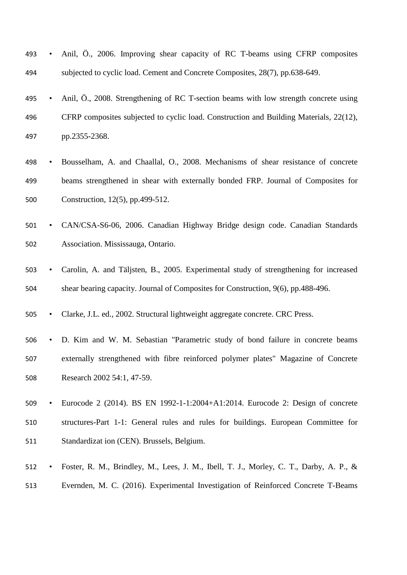|     |  |                                                                              |  |  |  | 493 • Anil, O., 2006. Improving shear capacity of RC T-beams using CFRP composites |
|-----|--|------------------------------------------------------------------------------|--|--|--|------------------------------------------------------------------------------------|
| 494 |  | subjected to cyclic load. Cement and Concrete Composites, 28(7), pp.638-649. |  |  |  |                                                                                    |

- Anil, Ö., 2008. Strengthening of RC T-section beams with low strength concrete using CFRP composites subjected to cyclic load. Construction and Building Materials, 22(12), pp.2355-2368.
- Bousselham, A. and Chaallal, O., 2008. Mechanisms of shear resistance of concrete beams strengthened in shear with externally bonded FRP. Journal of Composites for Construction, 12(5), pp.499-512.
- CAN/CSA-S6-06, 2006. Canadian Highway Bridge design code. Canadian Standards Association. Mississauga, Ontario.
- Carolin, A. and Täljsten, B., 2005. Experimental study of strengthening for increased shear bearing capacity. Journal of Composites for Construction, 9(6), pp.488-496.

• Clarke, J.L. ed., 2002. Structural lightweight aggregate concrete. CRC Press.

- D. Kim and W. M. Sebastian "Parametric study of bond failure in concrete beams externally strengthened with fibre reinforced polymer plates" Magazine of Concrete Research 2002 54:1, 47-59.
- Eurocode 2 (2014). BS EN 1992-1-1:2004+A1:2014. Eurocode 2: Design of concrete structures-Part 1-1: General rules and rules for buildings. European Committee for Standardizat ion (CEN). Brussels, Belgium.
- Foster, R. M., Brindley, M., Lees, J. M., Ibell, T. J., Morley, C. T., Darby, A. P., & Evernden, M. C. (2016). Experimental Investigation of Reinforced Concrete T-Beams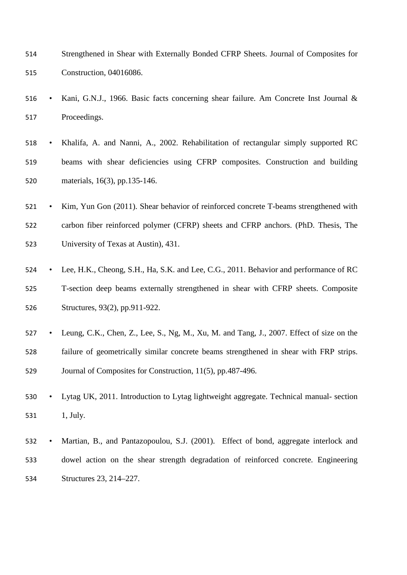| 514 | Strengthened in Shear with Externally Bonded CFRP Sheets. Journal of Composites for |
|-----|-------------------------------------------------------------------------------------|
| 515 | Construction, 04016086.                                                             |

- Kani, G.N.J., 1966. Basic facts concerning shear failure. Am Concrete Inst Journal & Proceedings.
- Khalifa, A. and Nanni, A., 2002. Rehabilitation of rectangular simply supported RC beams with shear deficiencies using CFRP composites. Construction and building materials, 16(3), pp.135-146.
- Kim, Yun Gon (2011). Shear behavior of reinforced concrete T-beams strengthened with carbon fiber reinforced polymer (CFRP) sheets and CFRP anchors. (PhD. Thesis, The University of Texas at Austin), 431.
- Lee, H.K., Cheong, S.H., Ha, S.K. and Lee, C.G., 2011. Behavior and performance of RC T-section deep beams externally strengthened in shear with CFRP sheets. Composite Structures, 93(2), pp.911-922.
- Leung, C.K., Chen, Z., Lee, S., Ng, M., Xu, M. and Tang, J., 2007. Effect of size on the failure of geometrically similar concrete beams strengthened in shear with FRP strips. Journal of Composites for Construction, 11(5), pp.487-496.
- Lytag UK, 2011. Introduction to Lytag lightweight aggregate. Technical manual- section 531 1. July.
- Martian, B., and Pantazopoulou, S.J. (2001). Effect of bond, aggregate interlock and dowel action on the shear strength degradation of reinforced concrete. Engineering Structures 23, 214–227.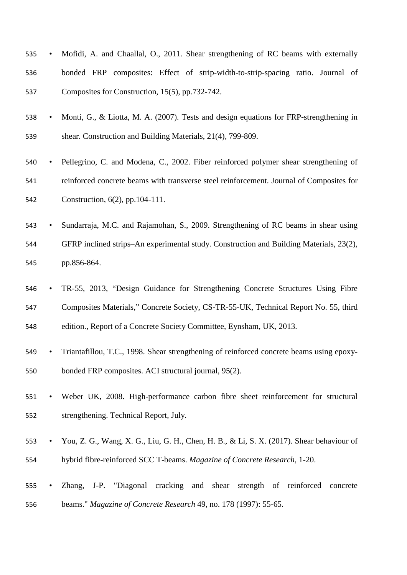- Mofidi, A. and Chaallal, O., 2011. Shear strengthening of RC beams with externally bonded FRP composites: Effect of strip-width-to-strip-spacing ratio. Journal of Composites for Construction, 15(5), pp.732-742.
- Monti, G., & Liotta, M. A. (2007). Tests and design equations for FRP-strengthening in shear. Construction and Building Materials, 21(4), 799-809.
- Pellegrino, C. and Modena, C., 2002. Fiber reinforced polymer shear strengthening of reinforced concrete beams with transverse steel reinforcement. Journal of Composites for Construction, 6(2), pp.104-111.
- Sundarraja, M.C. and Rajamohan, S., 2009. Strengthening of RC beams in shear using GFRP inclined strips–An experimental study. Construction and Building Materials, 23(2), pp.856-864.
- TR-55, 2013, "Design Guidance for Strengthening Concrete Structures Using Fibre Composites Materials," Concrete Society, CS-TR-55-UK, Technical Report No. 55, third edition., Report of a Concrete Society Committee, Eynsham, UK, 2013.
- Triantafillou, T.C., 1998. Shear strengthening of reinforced concrete beams using epoxy-bonded FRP composites. ACI structural journal, 95(2).
- Weber UK, 2008. High-performance carbon fibre sheet reinforcement for structural strengthening. Technical Report, July.
- You, Z. G., Wang, X. G., Liu, G. H., Chen, H. B., & Li, S. X. (2017). Shear behaviour of hybrid fibre-reinforced SCC T-beams. *Magazine of Concrete Research*, 1-20.
- Zhang, J-P. "Diagonal cracking and shear strength of reinforced concrete beams." *Magazine of Concrete Research* 49, no. 178 (1997): 55-65.